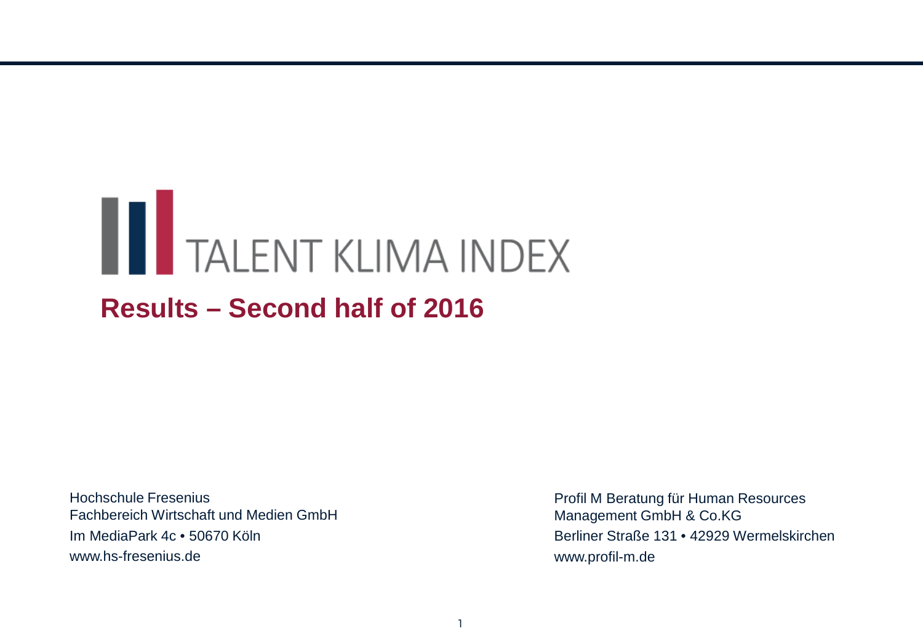# **THE TALENT KLIMA INDEX**

## **Results – Second half of 2016**

Hochschule Fresenius Fachbereich Wirtschaft und Medien GmbH Im MediaPark 4c • 50670 Köln www.hs-fresenius.de

Profil M Beratung für Human Resources Management GmbH & Co.KG Berliner Straße 131 • 42929 Wermelskirchen www.profil-m.de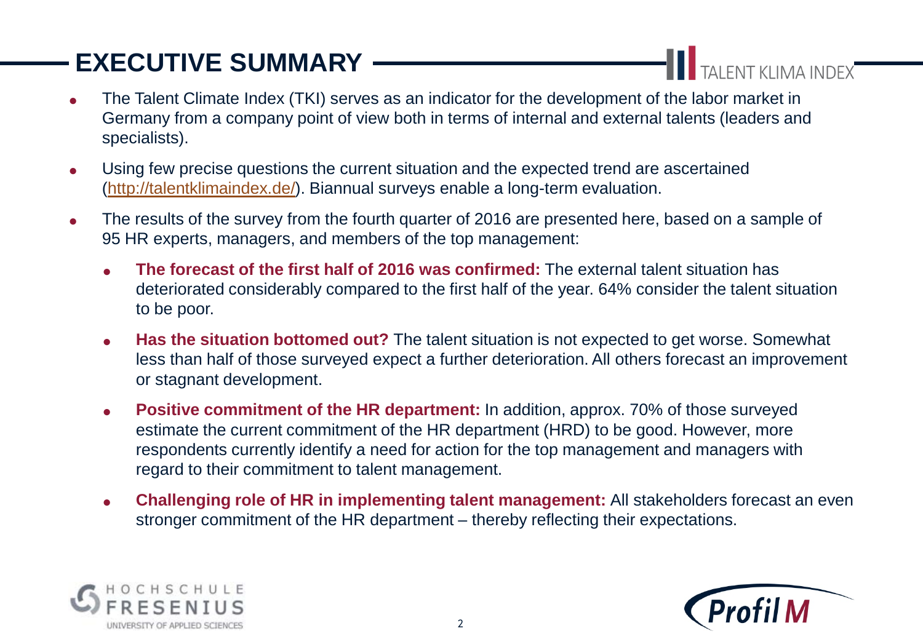# **EXECUTIVE SUMMARY**

TALENT KLIMA INDEX

- The Talent Climate Index (TKI) serves as an indicator for the development of the labor market in Germany from a company point of view both in terms of internal and external talents (leaders and specialists).
- Using few precise questions the current situation and the expected trend are ascertained (<http://talentklimaindex.de/>). Biannual surveys enable a long-term evaluation.
- The results of the survey from the fourth quarter of 2016 are presented here, based on a sample of 95 HR experts, managers, and members of the top management:
	- **The forecast of the first half of 2016 was confirmed:** The external talent situation has deteriorated considerably compared to the first half of the year. 64% consider the talent situation to be poor.
	- **Has the situation bottomed out?** The talent situation is not expected to get worse. Somewhat less than half of those surveyed expect a further deterioration. All others forecast an improvement or stagnant development.
	- **Positive commitment of the HR department:** In addition, approx. 70% of those surveyed estimate the current commitment of the HR department (HRD) to be good. However, more respondents currently identify a need for action for the top management and managers with regard to their commitment to talent management.
	- **Challenging role of HR in implementing talent management:** All stakeholders forecast an even stronger commitment of the HR department – thereby reflecting their expectations.



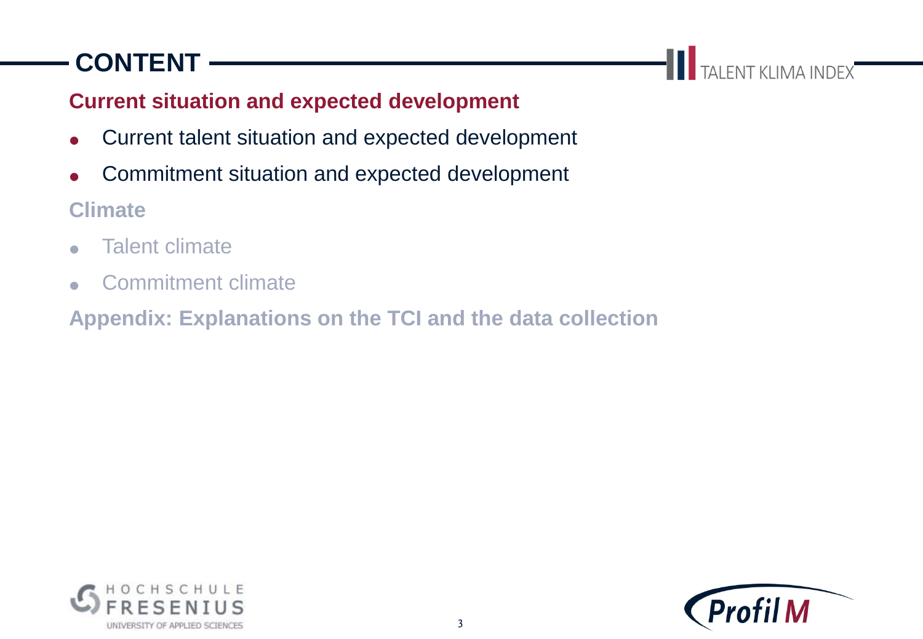# **CONTENT**

**THE TALENT KLIMA INDEX** 

#### **Current situation and expected development**

- Current talent situation and expected development
- Commitment situation and expected development

**Climate**

- **Talent climate**
- Commitment climate

**Appendix: Explanations on the TCI and the data collection**



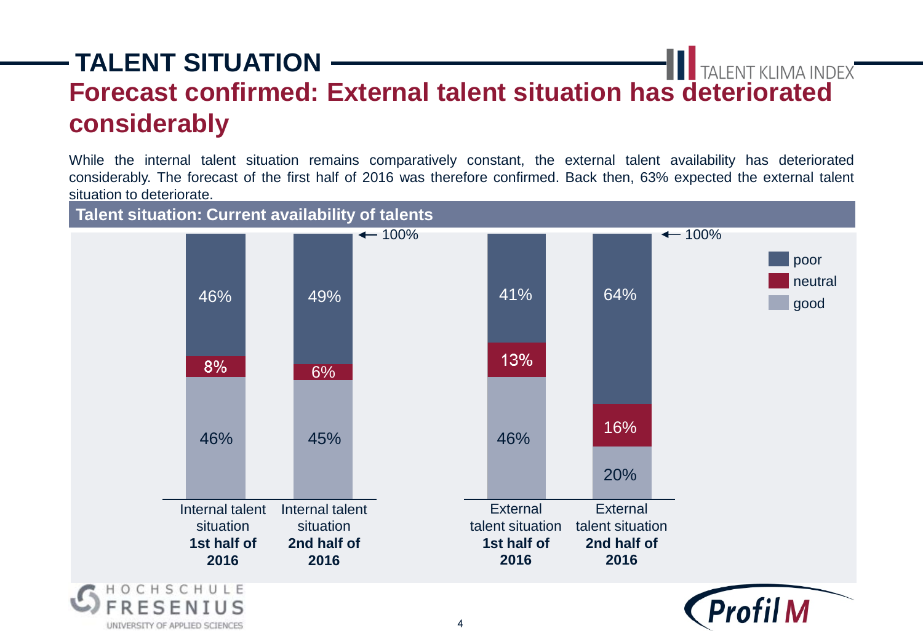## **TALENT SITUATION Forecast confirmed: External talent situation has deteriorated considerably**

While the internal talent situation remains comparatively constant, the external talent availability has deteriorated considerably. The forecast of the first half of 2016 was therefore confirmed. Back then, 63% expected the external talent situation to deteriorate.



UNIVERSITY OF APPLIED SCIENCES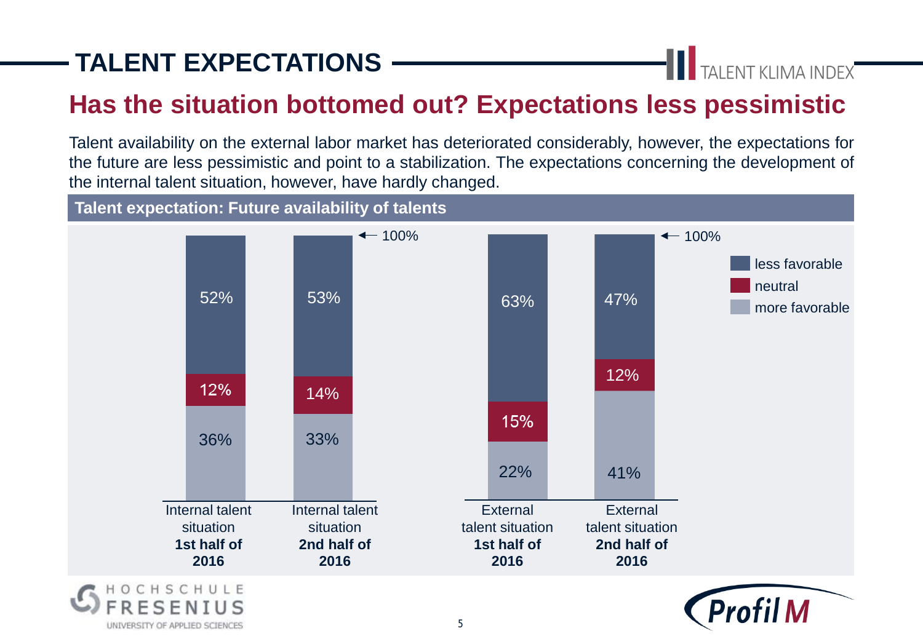# **TALENT EXPECTATIONS**

**THE TALENT KLIMA INDEX** 

## **Has the situation bottomed out? Expectations less pessimistic**

Talent availability on the external labor market has deteriorated considerably, however, the expectations for the future are less pessimistic and point to a stabilization. The expectations concerning the development of the internal talent situation, however, have hardly changed.

**Talent expectation: Future availability of talents**



5

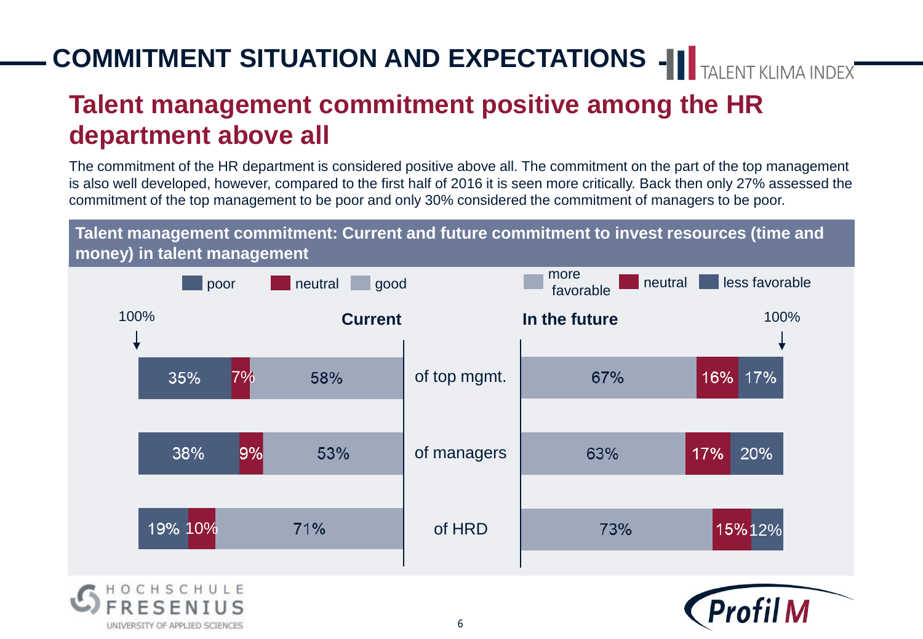# **COMMITMENT SITUATION AND EXPECTATIONS -III** TAI FNT KLIMA INDEX

## **Talent management commitment positive among the HR department above all**

The commitment of the HR department is considered positive above all. The commitment on the part of the top management is also well developed, however, compared to the first half of 2016 it is seen more critically. Back then only 27% assessed the commitment of the top management to be poor and only 30% considered the commitment of managers to be poor.

**Talent management commitment: Current and future commitment to invest resources (time and money) in talent management**

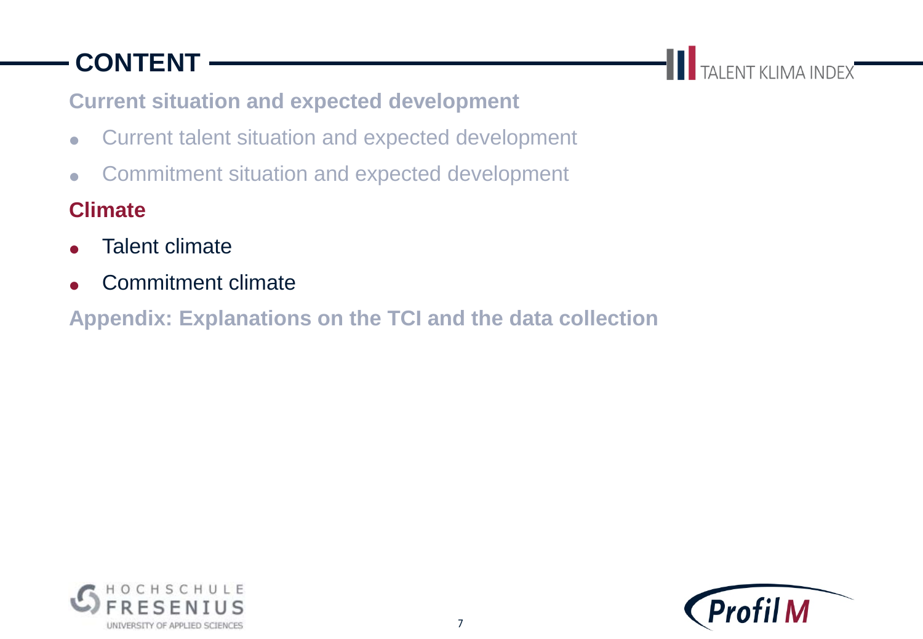# **CONTENT**

TALENT KLIMA INDEX

#### **Current situation and expected development**

- Current talent situation and expected development
- Commitment situation and expected development

#### **Climate**

- **Talent climate**
- Commitment climate

**Appendix: Explanations on the TCI and the data collection**



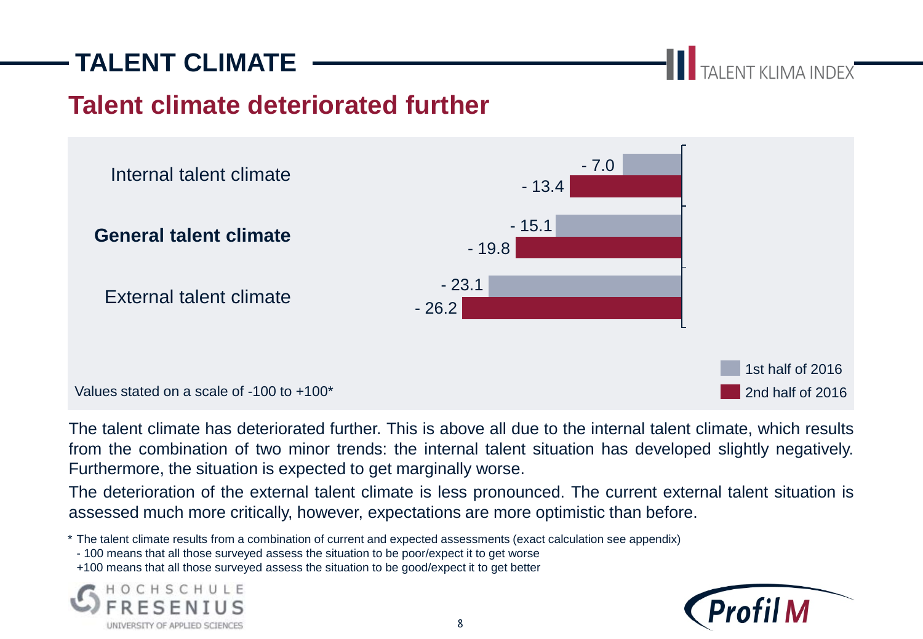## **TALENT CLIMATE**

TALENT KLIMA INDEX

### **Talent climate deteriorated further**



The talent climate has deteriorated further. This is above all due to the internal talent climate, which results from the combination of two minor trends: the internal talent situation has developed slightly negatively. Furthermore, the situation is expected to get marginally worse.

The deterioration of the external talent climate is less pronounced. The current external talent situation is assessed much more critically, however, expectations are more optimistic than before.

\* The talent climate results from a combination of current and expected assessments (exact calculation see appendix)

- 100 means that all those surveyed assess the situation to be poor/expect it to get worse

+100 means that all those surveyed assess the situation to be good/expect it to get better



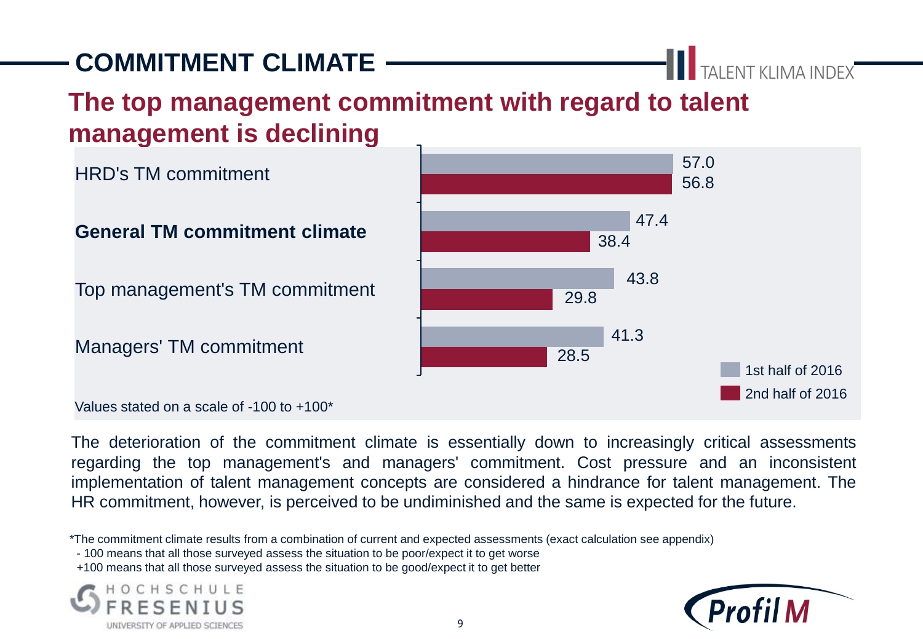# **COMMITMENT CLIMATE**

## **The top management commitment with regard to talent management is declining**

HRD's TM commitment

#### **General TM commitment climate**

Top management's TM commitment

Managers' TM commitment

Values stated on a scale of -100 to +100\*

The deterioration of the commitment climate is essentially down to increasingly critical assessments regarding the top management's and managers' commitment. Cost pressure and an inconsistent implementation of talent management concepts are considered a hindrance for talent management. The HR commitment, however, is perceived to be undiminished and the same is expected for the future.

\*The commitment climate results from a combination of current and expected assessments (exact calculation see appendix)

- 100 means that all those surveyed assess the situation to be poor/expect it to get worse
- +100 means that all those surveyed assess the situation to be good/expect it to get better







TALENT KLIMA INDEX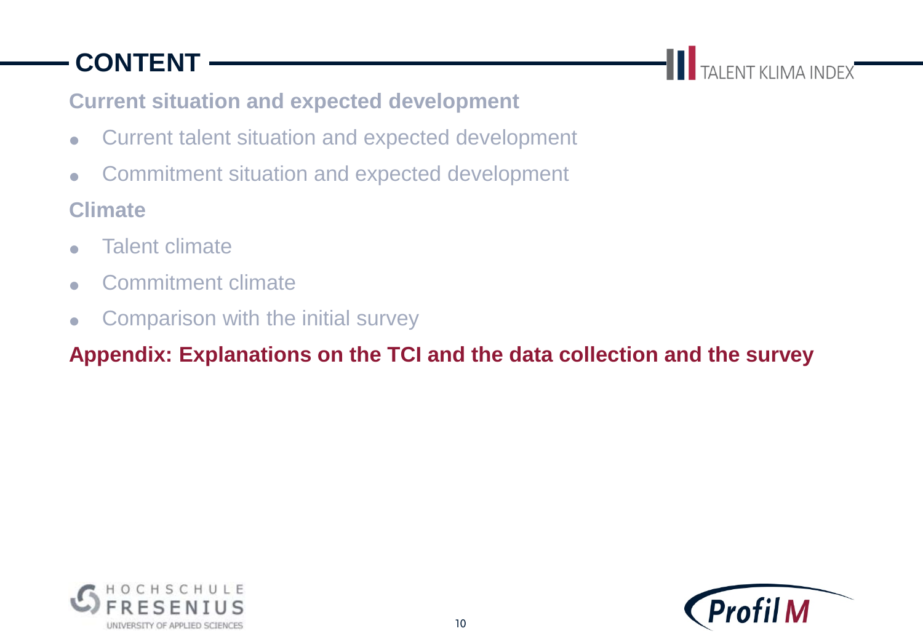# **CONTENT**

**THE TALENT KLIMA INDEX** 

#### **Current situation and expected development**

- Current talent situation and expected development
- Commitment situation and expected development

#### **Climate**

- **Talent climate**
- Commitment climate
- Comparison with the initial survey

#### **Appendix: Explanations on the TCI and the data collection and the survey**



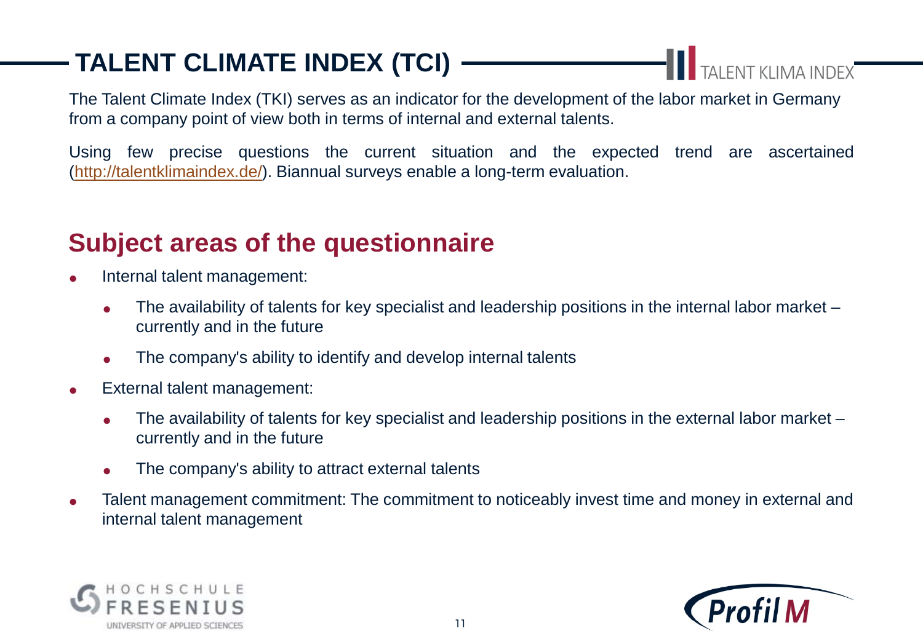# **TALENT CLIMATE INDEX (TCI)**

TAI FNT KLIMA INDEX

The Talent Climate Index (TKI) serves as an indicator for the development of the labor market in Germany from a company point of view both in terms of internal and external talents.

Using few precise questions the current situation and the expected trend are ascertained (<http://talentklimaindex.de/>). Biannual surveys enable a long-term evaluation.

## **Subject areas of the questionnaire**

- Internal talent management:
	- $\bullet$  The availability of talents for key specialist and leadership positions in the internal labor market currently and in the future
	- The company's ability to identify and develop internal talents
- External talent management:
	- $\bullet$  The availability of talents for key specialist and leadership positions in the external labor market currently and in the future
	- The company's ability to attract external talents
- Talent management commitment: The commitment to noticeably invest time and money in external and internal talent management



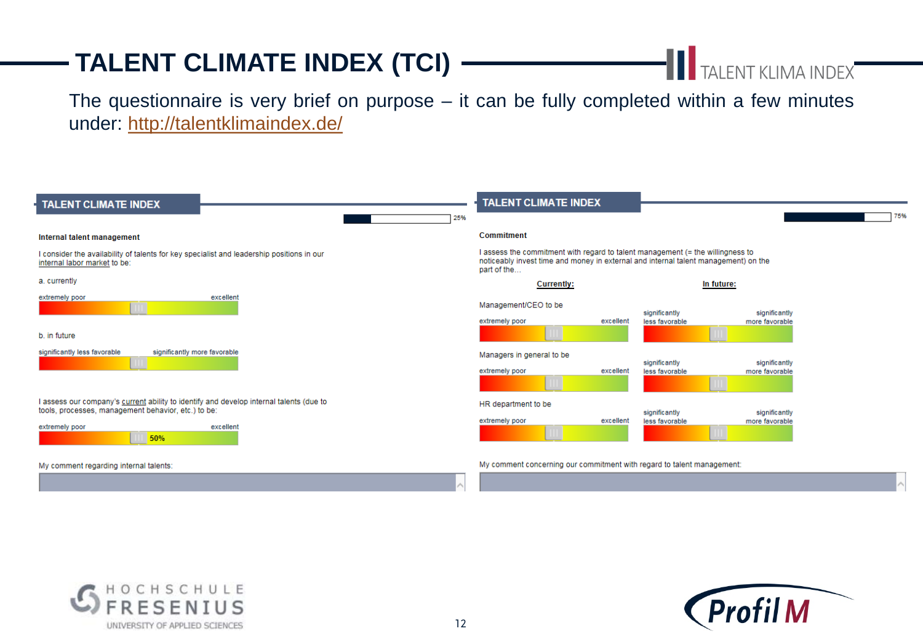## **TALENT CLIMATE INDEX (TCI)**

# **TALENT KLIMA INDEX**

The questionnaire is very brief on purpose  $-$  it can be fully completed within a few minutes under: <http://talentklimaindex.de/>

| TALENT CLIMATE INDEX                                                                                                                                                                 | <b>TALENT CLIMATE INDEX</b>                                                                                                                                                          |
|--------------------------------------------------------------------------------------------------------------------------------------------------------------------------------------|--------------------------------------------------------------------------------------------------------------------------------------------------------------------------------------|
| 25%                                                                                                                                                                                  | 75                                                                                                                                                                                   |
| Internal talent management                                                                                                                                                           | Commitment                                                                                                                                                                           |
| I consider the availability of talents for key specialist and leadership positions in our<br>internal labor market to be:                                                            | I assess the commitment with regard to talent management (= the willingness to<br>noticeably invest time and money in external and internal talent management) on the<br>part of the |
| a. currently                                                                                                                                                                         | In future:<br><b>Currently:</b>                                                                                                                                                      |
| extremely poor<br>excellent<br>b. in future                                                                                                                                          | Management/CEO to be<br>significantly<br>significantly<br>extremely poor<br>excellent<br>less favorable<br>more favorable                                                            |
| significantly more favorable<br>significantly less favorable                                                                                                                         | Managers in general to be<br>significantly<br>significantly<br>extremely poor<br>excellent<br>less favorable<br>more favorable                                                       |
| I assess our company's current ability to identify and develop internal talents (due to<br>tools, processes, management behavior, etc.) to be:<br>extremely poor<br>excellent<br>50% | HR department to be<br>significantly<br>significantly<br>extremely poor<br>excellent<br>less favorable<br>more favorable                                                             |
| My comment regarding internal talents:                                                                                                                                               | My comment concerning our commitment with regard to talent management:                                                                                                               |



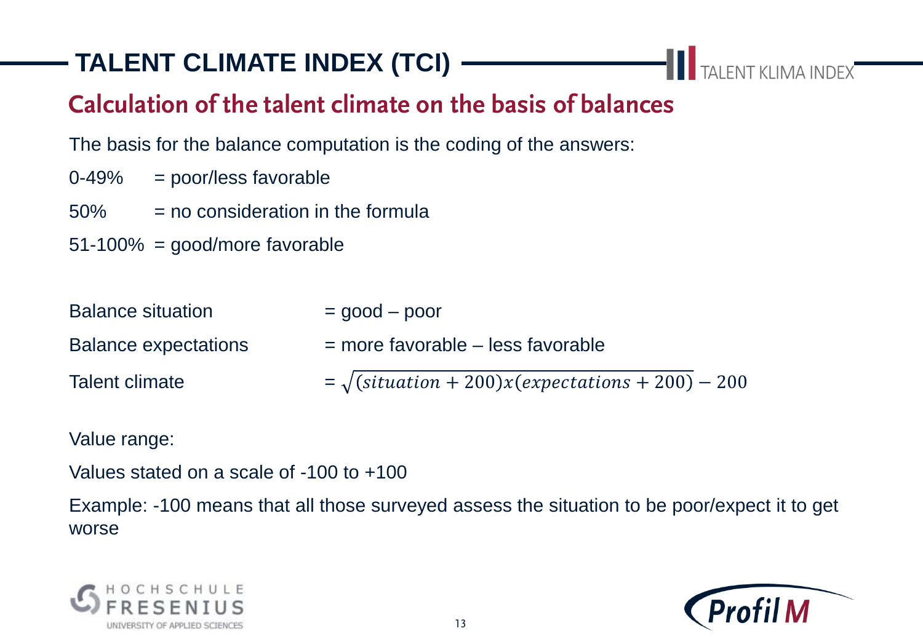# **TALENT CLIMATE INDEX (TCI)**

## **Calculation of the talent climate on the basis of balances**

The basis for the balance computation is the coding of the answers:

- 0-49% = poor/less favorable
- $50\%$  = no consideration in the formula
- 51-100% = good/more favorable

| <b>Balance situation</b>    | $=$ good $-$ poor                                                                          |
|-----------------------------|--------------------------------------------------------------------------------------------|
| <b>Balance expectations</b> | $=$ more favorable $-$ less favorable                                                      |
| Talent climate              | $=\sqrt{\left(\text{situation} + 200\right)x\left(\text{expectations} + 200\right)} - 200$ |

Value range:

Values stated on a scale of -100 to +100

Example: -100 means that all those surveyed assess the situation to be poor/expect it to get worse





**TALENT KLIMA INDEX**